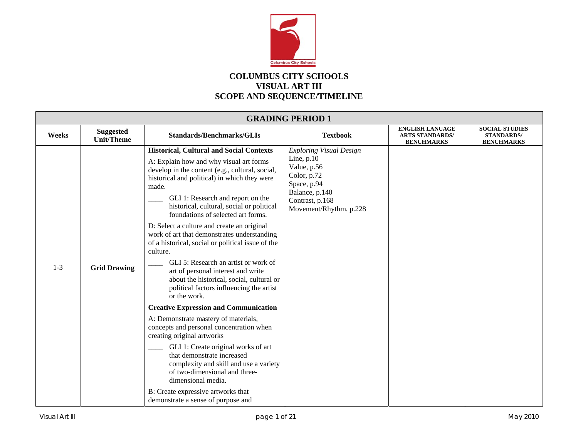

## **COLUMBUS CITY SCHOOLS VISUAL ART III SCOPE AND SEQUENCE/TIMELINE**

|         | <b>GRADING PERIOD 1</b>               |                                                                                                                                                                                                                                                                                                                                                                                                                                                                                                                                                                                                                                                                                     |                                                                                                                                                            |                                                                       |                                                                 |  |  |
|---------|---------------------------------------|-------------------------------------------------------------------------------------------------------------------------------------------------------------------------------------------------------------------------------------------------------------------------------------------------------------------------------------------------------------------------------------------------------------------------------------------------------------------------------------------------------------------------------------------------------------------------------------------------------------------------------------------------------------------------------------|------------------------------------------------------------------------------------------------------------------------------------------------------------|-----------------------------------------------------------------------|-----------------------------------------------------------------|--|--|
| Weeks   | <b>Suggested</b><br><b>Unit/Theme</b> | <b>Standards/Benchmarks/GLIs</b>                                                                                                                                                                                                                                                                                                                                                                                                                                                                                                                                                                                                                                                    | <b>Textbook</b>                                                                                                                                            | <b>ENGLISH LANUAGE</b><br><b>ARTS STANDARDS/</b><br><b>BENCHMARKS</b> | <b>SOCIAL STUDIES</b><br><b>STANDARDS/</b><br><b>BENCHMARKS</b> |  |  |
| $1 - 3$ | <b>Grid Drawing</b>                   | <b>Historical, Cultural and Social Contexts</b><br>A: Explain how and why visual art forms<br>develop in the content (e.g., cultural, social,<br>historical and political) in which they were<br>made.<br>GLI 1: Research and report on the<br>historical, cultural, social or political<br>foundations of selected art forms.<br>D: Select a culture and create an original<br>work of art that demonstrates understanding<br>of a historical, social or political issue of the<br>culture.<br>GLI 5: Research an artist or work of<br>art of personal interest and write<br>about the historical, social, cultural or<br>political factors influencing the artist<br>or the work. | <b>Exploring Visual Design</b><br>Line, $p.10$<br>Value, p.56<br>Color, p.72<br>Space, p.94<br>Balance, p.140<br>Contrast, p.168<br>Movement/Rhythm, p.228 |                                                                       |                                                                 |  |  |
|         |                                       | <b>Creative Expression and Communication</b><br>A: Demonstrate mastery of materials,<br>concepts and personal concentration when<br>creating original artworks<br>GLI 1: Create original works of art<br>that demonstrate increased<br>complexity and skill and use a variety<br>of two-dimensional and three-<br>dimensional media.<br>B: Create expressive artworks that<br>demonstrate a sense of purpose and                                                                                                                                                                                                                                                                    |                                                                                                                                                            |                                                                       |                                                                 |  |  |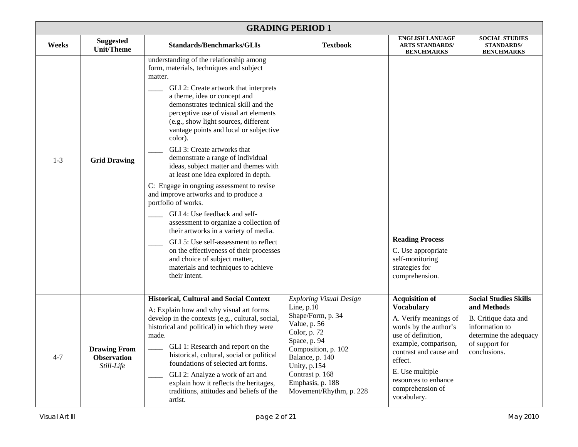|         | <b>GRADING PERIOD 1</b>                                 |                                                                                                                                                                                                                                                                                                                                                                                                                                                                                                                                                                                                                                                                                                                                                                                                                                                                                                                         |                                                                                                                                                                                                                                                 |                                                                                                                                                                                                                                                               |                                                                                                                                                   |  |  |
|---------|---------------------------------------------------------|-------------------------------------------------------------------------------------------------------------------------------------------------------------------------------------------------------------------------------------------------------------------------------------------------------------------------------------------------------------------------------------------------------------------------------------------------------------------------------------------------------------------------------------------------------------------------------------------------------------------------------------------------------------------------------------------------------------------------------------------------------------------------------------------------------------------------------------------------------------------------------------------------------------------------|-------------------------------------------------------------------------------------------------------------------------------------------------------------------------------------------------------------------------------------------------|---------------------------------------------------------------------------------------------------------------------------------------------------------------------------------------------------------------------------------------------------------------|---------------------------------------------------------------------------------------------------------------------------------------------------|--|--|
| Weeks   | <b>Suggested</b><br><b>Unit/Theme</b>                   | <b>Standards/Benchmarks/GLIs</b>                                                                                                                                                                                                                                                                                                                                                                                                                                                                                                                                                                                                                                                                                                                                                                                                                                                                                        | <b>Textbook</b>                                                                                                                                                                                                                                 | <b>ENGLISH LANUAGE</b><br><b>ARTS STANDARDS/</b><br><b>BENCHMARKS</b>                                                                                                                                                                                         | <b>SOCIAL STUDIES</b><br><b>STANDARDS/</b><br><b>BENCHMARKS</b>                                                                                   |  |  |
| $1 - 3$ | <b>Grid Drawing</b>                                     | understanding of the relationship among<br>form, materials, techniques and subject<br>matter.<br>GLI 2: Create artwork that interprets<br>a theme, idea or concept and<br>demonstrates technical skill and the<br>perceptive use of visual art elements<br>(e.g., show light sources, different<br>vantage points and local or subjective<br>color).<br>GLI 3: Create artworks that<br>demonstrate a range of individual<br>ideas, subject matter and themes with<br>at least one idea explored in depth.<br>C: Engage in ongoing assessment to revise<br>and improve artworks and to produce a<br>portfolio of works.<br>GLI 4: Use feedback and self-<br>assessment to organize a collection of<br>their artworks in a variety of media.<br>GLI 5: Use self-assessment to reflect<br>on the effectiveness of their processes<br>and choice of subject matter,<br>materials and techniques to achieve<br>their intent. |                                                                                                                                                                                                                                                 | <b>Reading Process</b><br>C. Use appropriate<br>self-monitoring<br>strategies for<br>comprehension.                                                                                                                                                           |                                                                                                                                                   |  |  |
| $4 - 7$ | <b>Drawing From</b><br><b>Observation</b><br>Still-Life | <b>Historical, Cultural and Social Context</b><br>A: Explain how and why visual art forms<br>develop in the contexts (e.g., cultural, social,<br>historical and political) in which they were<br>made.<br>GLI 1: Research and report on the<br>historical, cultural, social or political<br>foundations of selected art forms.<br>GLI 2: Analyze a work of art and<br>explain how it reflects the heritages,<br>traditions, attitudes and beliefs of the<br>artist.                                                                                                                                                                                                                                                                                                                                                                                                                                                     | <b>Exploring Visual Design</b><br>Line, $p.10$<br>Shape/Form, p. 34<br>Value, p. 56<br>Color, p. 72<br>Space, p. 94<br>Composition, p. 102<br>Balance, p. 140<br>Unity, p.154<br>Contrast p. 168<br>Emphasis, p. 188<br>Movement/Rhythm, p. 228 | <b>Acquisition of</b><br><b>Vocabulary</b><br>A. Verify meanings of<br>words by the author's<br>use of definition,<br>example, comparison,<br>contrast and cause and<br>effect.<br>E. Use multiple<br>resources to enhance<br>comprehension of<br>vocabulary. | <b>Social Studies Skills</b><br>and Methods<br>B. Critique data and<br>information to<br>determine the adequacy<br>of support for<br>conclusions. |  |  |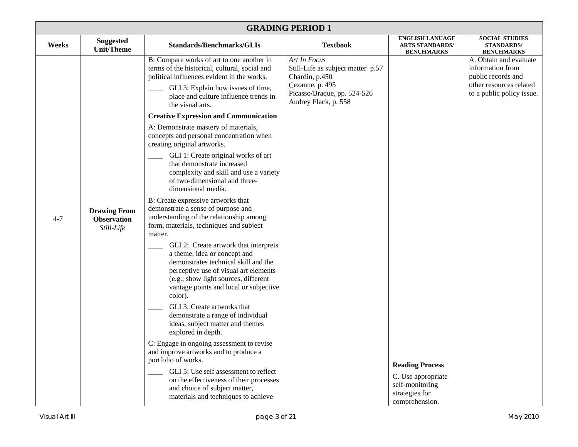|         | <b>GRADING PERIOD 1</b>                                 |                                                                                                                                                                                                                                                                                                                                                                                                                                                                                                                                                                                                                                                                                                                                                                                                                                                                                    |                                                                                                                                               |                                                                                                     |                                                                                                                          |  |  |
|---------|---------------------------------------------------------|------------------------------------------------------------------------------------------------------------------------------------------------------------------------------------------------------------------------------------------------------------------------------------------------------------------------------------------------------------------------------------------------------------------------------------------------------------------------------------------------------------------------------------------------------------------------------------------------------------------------------------------------------------------------------------------------------------------------------------------------------------------------------------------------------------------------------------------------------------------------------------|-----------------------------------------------------------------------------------------------------------------------------------------------|-----------------------------------------------------------------------------------------------------|--------------------------------------------------------------------------------------------------------------------------|--|--|
| Weeks   | <b>Suggested</b><br><b>Unit/Theme</b>                   | <b>Standards/Benchmarks/GLIs</b>                                                                                                                                                                                                                                                                                                                                                                                                                                                                                                                                                                                                                                                                                                                                                                                                                                                   | <b>Textbook</b>                                                                                                                               | <b>ENGLISH LANUAGE</b><br><b>ARTS STANDARDS/</b><br><b>BENCHMARKS</b>                               | <b>SOCIAL STUDIES</b><br><b>STANDARDS/</b><br><b>BENCHMARKS</b>                                                          |  |  |
| $4 - 7$ | <b>Drawing From</b><br><b>Observation</b><br>Still-Life | B: Compare works of art to one another in<br>terms of the historical, cultural, social and<br>political influences evident in the works.<br>GLI 3: Explain how issues of time,<br>place and culture influence trends in<br>the visual arts.<br><b>Creative Expression and Communication</b><br>A: Demonstrate mastery of materials,<br>concepts and personal concentration when<br>creating original artworks.<br>GLI 1: Create original works of art<br>that demonstrate increased<br>complexity and skill and use a variety<br>of two-dimensional and three-<br>dimensional media.<br>B: Create expressive artworks that<br>demonstrate a sense of purpose and<br>understanding of the relationship among<br>form, materials, techniques and subject<br>matter.<br>GLI 2: Create artwork that interprets<br>a theme, idea or concept and<br>demonstrates technical skill and the | Art In Focus<br>Still-Life as subject matter p.57<br>Chardin, p.450<br>Cezanne, p. 495<br>Picasso/Braque, pp. 524-526<br>Audrey Flack, p. 558 |                                                                                                     | A. Obtain and evaluate<br>information from<br>public records and<br>other resources related<br>to a public policy issue. |  |  |
|         |                                                         | perceptive use of visual art elements<br>(e.g., show light sources, different<br>vantage points and local or subjective<br>color).<br>GLI 3: Create artworks that<br>demonstrate a range of individual<br>ideas, subject matter and themes<br>explored in depth.<br>C: Engage in ongoing assessment to revise<br>and improve artworks and to produce a<br>portfolio of works.<br>GLI 5: Use self assessment to reflect<br>on the effectiveness of their processes<br>and choice of subject matter,<br>materials and techniques to achieve                                                                                                                                                                                                                                                                                                                                          |                                                                                                                                               | <b>Reading Process</b><br>C. Use appropriate<br>self-monitoring<br>strategies for<br>comprehension. |                                                                                                                          |  |  |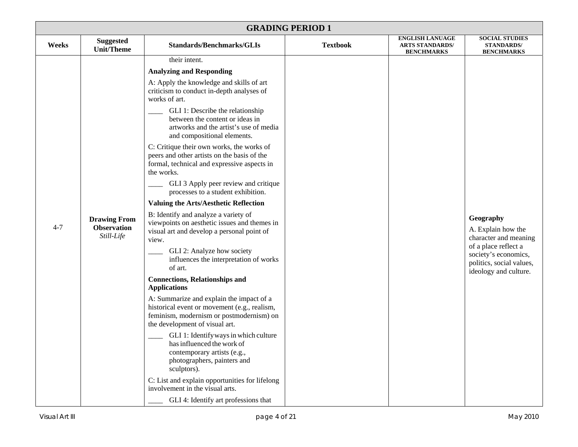| <b>GRADING PERIOD 1</b> |                                                         |                                                                                                                                                                                                                                                                                                                                                                                                                                                                                                                                                                                                                                                                                                                                                                                                                                                                                                                                                                                                                                                                                                                                                                                                                  |                 |                                                                       |                                                                                                                                                               |  |
|-------------------------|---------------------------------------------------------|------------------------------------------------------------------------------------------------------------------------------------------------------------------------------------------------------------------------------------------------------------------------------------------------------------------------------------------------------------------------------------------------------------------------------------------------------------------------------------------------------------------------------------------------------------------------------------------------------------------------------------------------------------------------------------------------------------------------------------------------------------------------------------------------------------------------------------------------------------------------------------------------------------------------------------------------------------------------------------------------------------------------------------------------------------------------------------------------------------------------------------------------------------------------------------------------------------------|-----------------|-----------------------------------------------------------------------|---------------------------------------------------------------------------------------------------------------------------------------------------------------|--|
| Weeks                   | <b>Suggested</b><br><b>Unit/Theme</b>                   | <b>Standards/Benchmarks/GLIs</b>                                                                                                                                                                                                                                                                                                                                                                                                                                                                                                                                                                                                                                                                                                                                                                                                                                                                                                                                                                                                                                                                                                                                                                                 | <b>Textbook</b> | <b>ENGLISH LANUAGE</b><br><b>ARTS STANDARDS/</b><br><b>BENCHMARKS</b> | <b>SOCIAL STUDIES</b><br><b>STANDARDS/</b><br><b>BENCHMARKS</b>                                                                                               |  |
|                         |                                                         | their intent.                                                                                                                                                                                                                                                                                                                                                                                                                                                                                                                                                                                                                                                                                                                                                                                                                                                                                                                                                                                                                                                                                                                                                                                                    |                 |                                                                       |                                                                                                                                                               |  |
| $4 - 7$                 | <b>Drawing From</b><br><b>Observation</b><br>Still-Life | <b>Analyzing and Responding</b><br>A: Apply the knowledge and skills of art<br>criticism to conduct in-depth analyses of<br>works of art.<br>GLI 1: Describe the relationship<br>between the content or ideas in<br>artworks and the artist's use of media<br>and compositional elements.<br>C: Critique their own works, the works of<br>peers and other artists on the basis of the<br>formal, technical and expressive aspects in<br>the works.<br>GLI 3 Apply peer review and critique<br>processes to a student exhibition.<br><b>Valuing the Arts/Aesthetic Reflection</b><br>B: Identify and analyze a variety of<br>viewpoints on aesthetic issues and themes in<br>visual art and develop a personal point of<br>view.<br>GLI 2: Analyze how society<br>influences the interpretation of works<br>of art.<br><b>Connections, Relationships and</b><br><b>Applications</b><br>A: Summarize and explain the impact of a<br>historical event or movement (e.g., realism,<br>feminism, modernism or postmodernism) on<br>the development of visual art.<br>GLI 1: Identify ways in which culture<br>has influenced the work of<br>contemporary artists (e.g.,<br>photographers, painters and<br>sculptors). |                 |                                                                       | Geography<br>A. Explain how the<br>character and meaning<br>of a place reflect a<br>society's economics,<br>politics, social values,<br>ideology and culture. |  |
|                         |                                                         | C: List and explain opportunities for lifelong<br>involvement in the visual arts.                                                                                                                                                                                                                                                                                                                                                                                                                                                                                                                                                                                                                                                                                                                                                                                                                                                                                                                                                                                                                                                                                                                                |                 |                                                                       |                                                                                                                                                               |  |
|                         |                                                         | GLI 4: Identify art professions that                                                                                                                                                                                                                                                                                                                                                                                                                                                                                                                                                                                                                                                                                                                                                                                                                                                                                                                                                                                                                                                                                                                                                                             |                 |                                                                       |                                                                                                                                                               |  |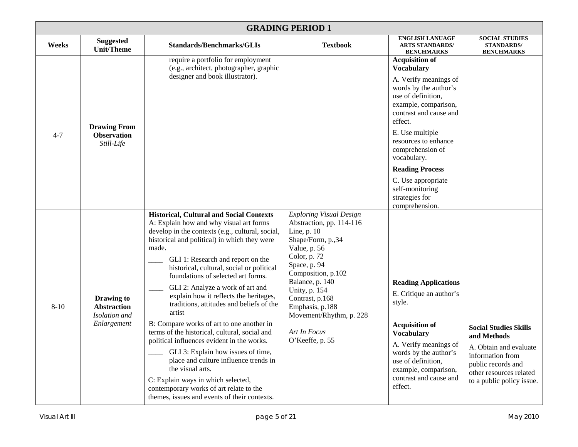|          | <b>GRADING PERIOD 1</b>                                                 |                                                                                                                                                                                                                                                                                                                                                                                                                                                                                                                                                                                                                                                                                                                                                                                                                                                     |                                                                                                                                                                                                                                                                                                              |                                                                                                                                                                                                                                                                                                                                                    |                                                                                                                                                                         |  |  |
|----------|-------------------------------------------------------------------------|-----------------------------------------------------------------------------------------------------------------------------------------------------------------------------------------------------------------------------------------------------------------------------------------------------------------------------------------------------------------------------------------------------------------------------------------------------------------------------------------------------------------------------------------------------------------------------------------------------------------------------------------------------------------------------------------------------------------------------------------------------------------------------------------------------------------------------------------------------|--------------------------------------------------------------------------------------------------------------------------------------------------------------------------------------------------------------------------------------------------------------------------------------------------------------|----------------------------------------------------------------------------------------------------------------------------------------------------------------------------------------------------------------------------------------------------------------------------------------------------------------------------------------------------|-------------------------------------------------------------------------------------------------------------------------------------------------------------------------|--|--|
| Weeks    | <b>Suggested</b><br><b>Unit/Theme</b>                                   | <b>Standards/Benchmarks/GLIs</b>                                                                                                                                                                                                                                                                                                                                                                                                                                                                                                                                                                                                                                                                                                                                                                                                                    | <b>Textbook</b>                                                                                                                                                                                                                                                                                              | <b>ENGLISH LANUAGE</b><br><b>ARTS STANDARDS/</b><br><b>BENCHMARKS</b>                                                                                                                                                                                                                                                                              | <b>SOCIAL STUDIES</b><br><b>STANDARDS/</b><br><b>BENCHMARKS</b>                                                                                                         |  |  |
| $4 - 7$  | <b>Drawing From</b><br><b>Observation</b><br>Still-Life                 | require a portfolio for employment<br>(e.g., architect, photographer, graphic<br>designer and book illustrator).                                                                                                                                                                                                                                                                                                                                                                                                                                                                                                                                                                                                                                                                                                                                    |                                                                                                                                                                                                                                                                                                              | <b>Acquisition of</b><br><b>Vocabulary</b><br>A. Verify meanings of<br>words by the author's<br>use of definition,<br>example, comparison,<br>contrast and cause and<br>effect.<br>E. Use multiple<br>resources to enhance<br>comprehension of<br>vocabulary.<br><b>Reading Process</b><br>C. Use appropriate<br>self-monitoring<br>strategies for |                                                                                                                                                                         |  |  |
| $8 - 10$ | <b>Drawing to</b><br><b>Abstraction</b><br>Isolation and<br>Enlargement | <b>Historical, Cultural and Social Contexts</b><br>A: Explain how and why visual art forms<br>develop in the contexts (e.g., cultural, social,<br>historical and political) in which they were<br>made.<br>GLI 1: Research and report on the<br>historical, cultural, social or political<br>foundations of selected art forms.<br>GLI 2: Analyze a work of art and<br>explain how it reflects the heritages,<br>traditions, attitudes and beliefs of the<br>artist<br>B: Compare works of art to one another in<br>terms of the historical, cultural, social and<br>political influences evident in the works.<br>GLI 3: Explain how issues of time,<br>place and culture influence trends in<br>the visual arts.<br>C: Explain ways in which selected,<br>contemporary works of art relate to the<br>themes, issues and events of their contexts. | <b>Exploring Visual Design</b><br>Abstraction, pp. 114-116<br>Line, p. 10<br>Shape/Form, p.,34<br>Value, p. 56<br>Color, p. 72<br>Space, p. 94<br>Composition, p.102<br>Balance, p. 140<br>Unity, p. 154<br>Contrast, p.168<br>Emphasis, p.188<br>Movement/Rhythm, p. 228<br>Art In Focus<br>O'Keeffe, p. 55 | comprehension.<br><b>Reading Applications</b><br>E. Critique an author's<br>style.<br><b>Acquisition of</b><br><b>Vocabulary</b><br>A. Verify meanings of<br>words by the author's<br>use of definition,<br>example, comparison,<br>contrast and cause and<br>effect.                                                                              | <b>Social Studies Skills</b><br>and Methods<br>A. Obtain and evaluate<br>information from<br>public records and<br>other resources related<br>to a public policy issue. |  |  |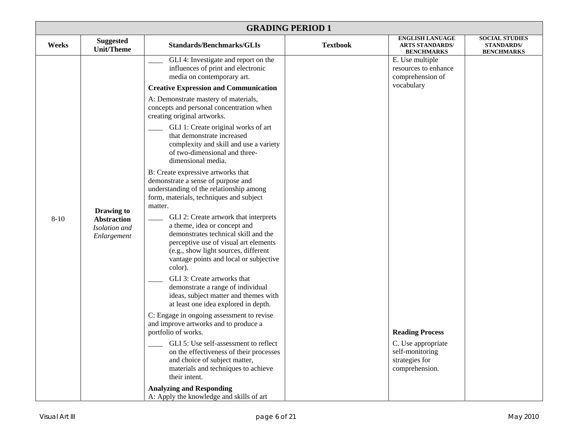|          | <b>GRADING PERIOD 1</b>                           |                                                                                                                                                                                                                                                                                                                                                                                                                                                                                                                                                                                                                                                                                                          |                 |                                                                                                     |                                                                 |  |  |
|----------|---------------------------------------------------|----------------------------------------------------------------------------------------------------------------------------------------------------------------------------------------------------------------------------------------------------------------------------------------------------------------------------------------------------------------------------------------------------------------------------------------------------------------------------------------------------------------------------------------------------------------------------------------------------------------------------------------------------------------------------------------------------------|-----------------|-----------------------------------------------------------------------------------------------------|-----------------------------------------------------------------|--|--|
| Weeks    | <b>Suggested</b><br><b>Unit/Theme</b>             | <b>Standards/Benchmarks/GLIs</b>                                                                                                                                                                                                                                                                                                                                                                                                                                                                                                                                                                                                                                                                         | <b>Textbook</b> | <b>ENGLISH LANUAGE</b><br><b>ARTS STANDARDS/</b><br><b>BENCHMARKS</b>                               | <b>SOCIAL STUDIES</b><br><b>STANDARDS/</b><br><b>BENCHMARKS</b> |  |  |
| $8 - 10$ | Drawing to<br><b>Abstraction</b><br>Isolation and | GLI 4: Investigate and report on the<br>influences of print and electronic<br>media on contemporary art.<br><b>Creative Expression and Communication</b><br>A: Demonstrate mastery of materials,<br>concepts and personal concentration when<br>creating original artworks.<br>GLI 1: Create original works of art<br>that demonstrate increased<br>complexity and skill and use a variety<br>of two-dimensional and three-<br>dimensional media.<br>B: Create expressive artworks that<br>demonstrate a sense of purpose and<br>understanding of the relationship among<br>form, materials, techniques and subject<br>matter.<br>GLI 2: Create artwork that interprets<br>a theme, idea or concept and  |                 | E. Use multiple<br>resources to enhance<br>comprehension of<br>vocabulary                           |                                                                 |  |  |
|          | Enlargement                                       | demonstrates technical skill and the<br>perceptive use of visual art elements<br>(e.g., show light sources, different<br>vantage points and local or subjective<br>color).<br>GLI 3: Create artworks that<br>demonstrate a range of individual<br>ideas, subject matter and themes with<br>at least one idea explored in depth.<br>C: Engage in ongoing assessment to revise<br>and improve artworks and to produce a<br>portfolio of works.<br>GLI 5: Use self-assessment to reflect<br>on the effectiveness of their processes<br>and choice of subject matter,<br>materials and techniques to achieve<br>their intent.<br><b>Analyzing and Responding</b><br>A: Apply the knowledge and skills of art |                 | <b>Reading Process</b><br>C. Use appropriate<br>self-monitoring<br>strategies for<br>comprehension. |                                                                 |  |  |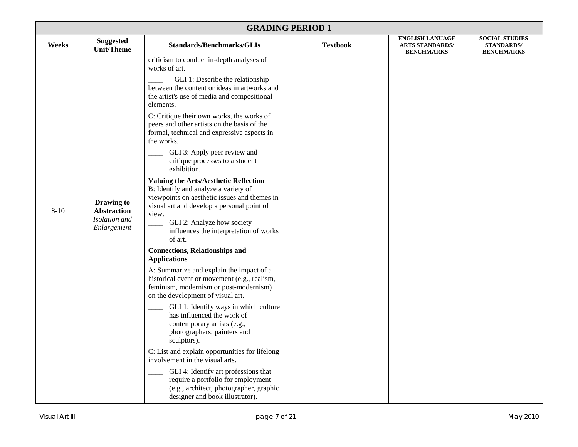|          | <b>GRADING PERIOD 1</b>                                          |                                                                                                                                                                                                                                                                                                                                                                                                                                                                                                                                                                                                                                                                                                                                                                                                                                                                                                                                                                                                                                                                                                                                                                                                                                                                                                                                                                                         |                 |                                                                       |                                                                 |  |  |
|----------|------------------------------------------------------------------|-----------------------------------------------------------------------------------------------------------------------------------------------------------------------------------------------------------------------------------------------------------------------------------------------------------------------------------------------------------------------------------------------------------------------------------------------------------------------------------------------------------------------------------------------------------------------------------------------------------------------------------------------------------------------------------------------------------------------------------------------------------------------------------------------------------------------------------------------------------------------------------------------------------------------------------------------------------------------------------------------------------------------------------------------------------------------------------------------------------------------------------------------------------------------------------------------------------------------------------------------------------------------------------------------------------------------------------------------------------------------------------------|-----------------|-----------------------------------------------------------------------|-----------------------------------------------------------------|--|--|
| Weeks    | <b>Suggested</b><br><b>Unit/Theme</b>                            | <b>Standards/Benchmarks/GLIs</b>                                                                                                                                                                                                                                                                                                                                                                                                                                                                                                                                                                                                                                                                                                                                                                                                                                                                                                                                                                                                                                                                                                                                                                                                                                                                                                                                                        | <b>Textbook</b> | <b>ENGLISH LANUAGE</b><br><b>ARTS STANDARDS/</b><br><b>BENCHMARKS</b> | <b>SOCIAL STUDIES</b><br><b>STANDARDS/</b><br><b>BENCHMARKS</b> |  |  |
| $8 - 10$ | Drawing to<br><b>Abstraction</b><br>Isolation and<br>Enlargement | criticism to conduct in-depth analyses of<br>works of art.<br>GLI 1: Describe the relationship<br>between the content or ideas in artworks and<br>the artist's use of media and compositional<br>elements.<br>C: Critique their own works, the works of<br>peers and other artists on the basis of the<br>formal, technical and expressive aspects in<br>the works.<br>GLI 3: Apply peer review and<br>critique processes to a student<br>exhibition.<br><b>Valuing the Arts/Aesthetic Reflection</b><br>B: Identify and analyze a variety of<br>viewpoints on aesthetic issues and themes in<br>visual art and develop a personal point of<br>view.<br>GLI 2: Analyze how society<br>influences the interpretation of works<br>of art.<br><b>Connections, Relationships and</b><br><b>Applications</b><br>A: Summarize and explain the impact of a<br>historical event or movement (e.g., realism,<br>feminism, modernism or post-modernism)<br>on the development of visual art.<br>GLI 1: Identify ways in which culture<br>has influenced the work of<br>contemporary artists (e.g.,<br>photographers, painters and<br>sculptors).<br>C: List and explain opportunities for lifelong<br>involvement in the visual arts.<br>GLI 4: Identify art professions that<br>require a portfolio for employment<br>(e.g., architect, photographer, graphic<br>designer and book illustrator). |                 |                                                                       |                                                                 |  |  |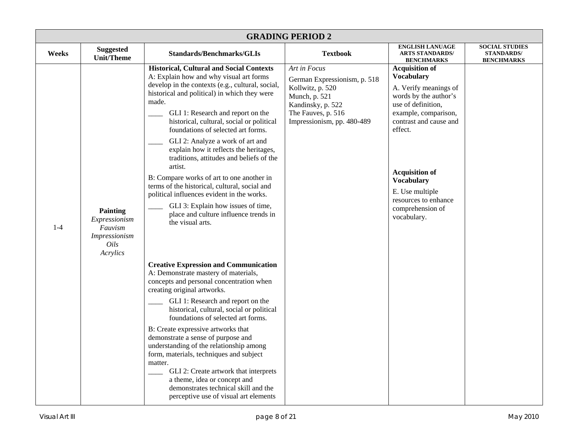| <b>GRADING PERIOD 2</b> |                                                                                         |                                                                                                                                                                                                                                                                                                                                                                                                                                                                                                                                                                                                                                                                                                                     |                                                                                                                                                            |                                                                                                                                                                                                                                                                                                             |                                                                 |  |  |
|-------------------------|-----------------------------------------------------------------------------------------|---------------------------------------------------------------------------------------------------------------------------------------------------------------------------------------------------------------------------------------------------------------------------------------------------------------------------------------------------------------------------------------------------------------------------------------------------------------------------------------------------------------------------------------------------------------------------------------------------------------------------------------------------------------------------------------------------------------------|------------------------------------------------------------------------------------------------------------------------------------------------------------|-------------------------------------------------------------------------------------------------------------------------------------------------------------------------------------------------------------------------------------------------------------------------------------------------------------|-----------------------------------------------------------------|--|--|
| Weeks                   | <b>Suggested</b><br><b>Unit/Theme</b>                                                   | <b>Standards/Benchmarks/GLIs</b>                                                                                                                                                                                                                                                                                                                                                                                                                                                                                                                                                                                                                                                                                    | <b>Textbook</b>                                                                                                                                            | <b>ENGLISH LANUAGE</b><br><b>ARTS STANDARDS/</b><br><b>BENCHMARKS</b>                                                                                                                                                                                                                                       | <b>SOCIAL STUDIES</b><br><b>STANDARDS/</b><br><b>BENCHMARKS</b> |  |  |
| $1 - 4$                 | <b>Painting</b><br>Expressionism<br>Fauvism<br><i>Impressionism</i><br>Oils<br>Acrylics | <b>Historical, Cultural and Social Contexts</b><br>A: Explain how and why visual art forms<br>develop in the contexts (e.g., cultural, social,<br>historical and political) in which they were<br>made.<br>GLI 1: Research and report on the<br>historical, cultural, social or political<br>foundations of selected art forms.<br>GLI 2: Analyze a work of art and<br>explain how it reflects the heritages,<br>traditions, attitudes and beliefs of the<br>artist.<br>B: Compare works of art to one another in<br>terms of the historical, cultural, social and<br>political influences evident in the works.<br>GLI 3: Explain how issues of time,<br>place and culture influence trends in<br>the visual arts. | Art in Focus<br>German Expressionism, p. 518<br>Kollwitz, p. 520<br>Munch, p. 521<br>Kandinsky, p. 522<br>The Fauves, p. 516<br>Impressionism, pp. 480-489 | <b>Acquisition of</b><br><b>Vocabulary</b><br>A. Verify meanings of<br>words by the author's<br>use of definition,<br>example, comparison,<br>contrast and cause and<br>effect.<br><b>Acquisition of</b><br><b>Vocabulary</b><br>E. Use multiple<br>resources to enhance<br>comprehension of<br>vocabulary. |                                                                 |  |  |
|                         |                                                                                         | <b>Creative Expression and Communication</b><br>A: Demonstrate mastery of materials,<br>concepts and personal concentration when<br>creating original artworks.<br>GLI 1: Research and report on the<br>historical, cultural, social or political<br>foundations of selected art forms.<br>B: Create expressive artworks that<br>demonstrate a sense of purpose and<br>understanding of the relationship among<br>form, materials, techniques and subject<br>matter.<br>GLI 2: Create artwork that interprets<br>a theme, idea or concept and<br>demonstrates technical skill and the<br>perceptive use of visual art elements                                                                                      |                                                                                                                                                            |                                                                                                                                                                                                                                                                                                             |                                                                 |  |  |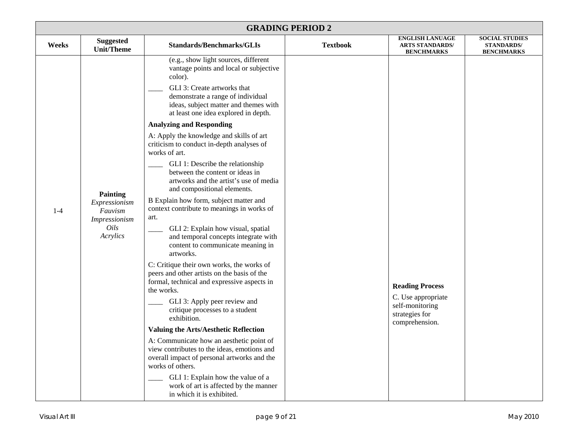|       | <b>GRADING PERIOD 2</b>                                                          |                                                                                                                                                                                                                                                                                                                                                                                                                                                                                                                                                                                                                                                                                                                                                                                                                                                                                                                                                                                                                                                                                                                                                                                                                                                                                                                    |                 |                                                                                                     |                                                                 |  |  |
|-------|----------------------------------------------------------------------------------|--------------------------------------------------------------------------------------------------------------------------------------------------------------------------------------------------------------------------------------------------------------------------------------------------------------------------------------------------------------------------------------------------------------------------------------------------------------------------------------------------------------------------------------------------------------------------------------------------------------------------------------------------------------------------------------------------------------------------------------------------------------------------------------------------------------------------------------------------------------------------------------------------------------------------------------------------------------------------------------------------------------------------------------------------------------------------------------------------------------------------------------------------------------------------------------------------------------------------------------------------------------------------------------------------------------------|-----------------|-----------------------------------------------------------------------------------------------------|-----------------------------------------------------------------|--|--|
| Weeks | <b>Suggested</b><br><b>Unit/Theme</b>                                            | <b>Standards/Benchmarks/GLIs</b>                                                                                                                                                                                                                                                                                                                                                                                                                                                                                                                                                                                                                                                                                                                                                                                                                                                                                                                                                                                                                                                                                                                                                                                                                                                                                   | <b>Textbook</b> | <b>ENGLISH LANUAGE</b><br><b>ARTS STANDARDS/</b><br><b>BENCHMARKS</b>                               | <b>SOCIAL STUDIES</b><br><b>STANDARDS/</b><br><b>BENCHMARKS</b> |  |  |
| $1-4$ | <b>Painting</b><br>Expressionism<br>Fauvism<br>Impressionism<br>Oils<br>Acrylics | (e.g., show light sources, different<br>vantage points and local or subjective<br>color).<br>GLI 3: Create artworks that<br>demonstrate a range of individual<br>ideas, subject matter and themes with<br>at least one idea explored in depth.<br><b>Analyzing and Responding</b><br>A: Apply the knowledge and skills of art<br>criticism to conduct in-depth analyses of<br>works of art.<br>GLI 1: Describe the relationship<br>between the content or ideas in<br>artworks and the artist's use of media<br>and compositional elements.<br>B Explain how form, subject matter and<br>context contribute to meanings in works of<br>art.<br>GLI 2: Explain how visual, spatial<br>and temporal concepts integrate with<br>content to communicate meaning in<br>artworks.<br>C: Critique their own works, the works of<br>peers and other artists on the basis of the<br>formal, technical and expressive aspects in<br>the works.<br>GLI 3: Apply peer review and<br>critique processes to a student<br>exhibition.<br><b>Valuing the Arts/Aesthetic Reflection</b><br>A: Communicate how an aesthetic point of<br>view contributes to the ideas, emotions and<br>overall impact of personal artworks and the<br>works of others.<br>GLI 1: Explain how the value of a<br>work of art is affected by the manner |                 | <b>Reading Process</b><br>C. Use appropriate<br>self-monitoring<br>strategies for<br>comprehension. |                                                                 |  |  |
|       |                                                                                  | in which it is exhibited.                                                                                                                                                                                                                                                                                                                                                                                                                                                                                                                                                                                                                                                                                                                                                                                                                                                                                                                                                                                                                                                                                                                                                                                                                                                                                          |                 |                                                                                                     |                                                                 |  |  |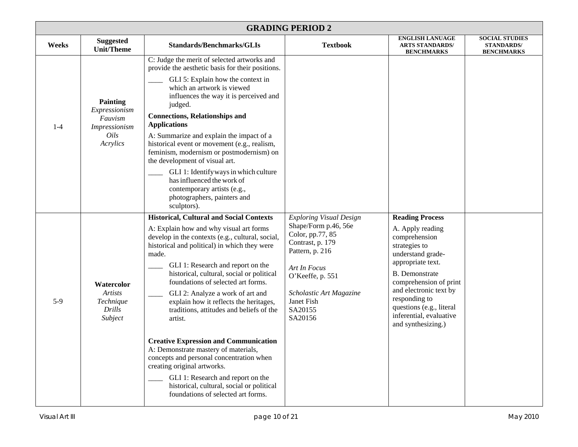|         | <b>GRADING PERIOD 2</b>                                                                 |                                                                                                                                                                                                                                                                                                                                                                                                                                                                                                                                                                                                                                                                                                                                                                 |                                                                                                                                                                                                                      |                                                                                                                                                                                                                                                                                                   |                                                                 |  |  |
|---------|-----------------------------------------------------------------------------------------|-----------------------------------------------------------------------------------------------------------------------------------------------------------------------------------------------------------------------------------------------------------------------------------------------------------------------------------------------------------------------------------------------------------------------------------------------------------------------------------------------------------------------------------------------------------------------------------------------------------------------------------------------------------------------------------------------------------------------------------------------------------------|----------------------------------------------------------------------------------------------------------------------------------------------------------------------------------------------------------------------|---------------------------------------------------------------------------------------------------------------------------------------------------------------------------------------------------------------------------------------------------------------------------------------------------|-----------------------------------------------------------------|--|--|
| Weeks   | <b>Suggested</b><br><b>Unit/Theme</b>                                                   | <b>Standards/Benchmarks/GLIs</b>                                                                                                                                                                                                                                                                                                                                                                                                                                                                                                                                                                                                                                                                                                                                | <b>Textbook</b>                                                                                                                                                                                                      | <b>ENGLISH LANUAGE</b><br><b>ARTS STANDARDS/</b><br><b>BENCHMARKS</b>                                                                                                                                                                                                                             | <b>SOCIAL STUDIES</b><br><b>STANDARDS/</b><br><b>BENCHMARKS</b> |  |  |
| $1 - 4$ | <b>Painting</b><br>Expressionism<br>Fauvism<br><i>Impressionism</i><br>Oils<br>Acrylics | C: Judge the merit of selected artworks and<br>provide the aesthetic basis for their positions.<br>GLI 5: Explain how the context in<br>which an artwork is viewed<br>influences the way it is perceived and<br>judged.<br><b>Connections, Relationships and</b><br><b>Applications</b><br>A: Summarize and explain the impact of a<br>historical event or movement (e.g., realism,<br>feminism, modernism or postmodernism) on<br>the development of visual art.<br>GLI 1: Identify ways in which culture<br>has influenced the work of<br>contemporary artists (e.g.,<br>photographers, painters and<br>sculptors).                                                                                                                                           |                                                                                                                                                                                                                      |                                                                                                                                                                                                                                                                                                   |                                                                 |  |  |
| $5-9$   | Watercolor<br><b>Artists</b><br>Technique<br><b>Drills</b><br>Subject                   | <b>Historical, Cultural and Social Contexts</b><br>A: Explain how and why visual art forms<br>develop in the contexts (e.g., cultural, social,<br>historical and political) in which they were<br>made.<br>GLI 1: Research and report on the<br>historical, cultural, social or political<br>foundations of selected art forms.<br>GLI 2: Analyze a work of art and<br>explain how it reflects the heritages,<br>traditions, attitudes and beliefs of the<br>artist.<br><b>Creative Expression and Communication</b><br>A: Demonstrate mastery of materials,<br>concepts and personal concentration when<br>creating original artworks.<br>GLI 1: Research and report on the<br>historical, cultural, social or political<br>foundations of selected art forms. | <b>Exploring Visual Design</b><br>Shape/Form p.46, 56e<br>Color, pp.77, 85<br>Contrast, p. 179<br>Pattern, p. 216<br>Art In Focus<br>O'Keeffe, p. 551<br>Scholastic Art Magazine<br>Janet Fish<br>SA20155<br>SA20156 | <b>Reading Process</b><br>A. Apply reading<br>comprehension<br>strategies to<br>understand grade-<br>appropriate text.<br><b>B.</b> Demonstrate<br>comprehension of print<br>and electronic text by<br>responding to<br>questions (e.g., literal<br>inferential, evaluative<br>and synthesizing.) |                                                                 |  |  |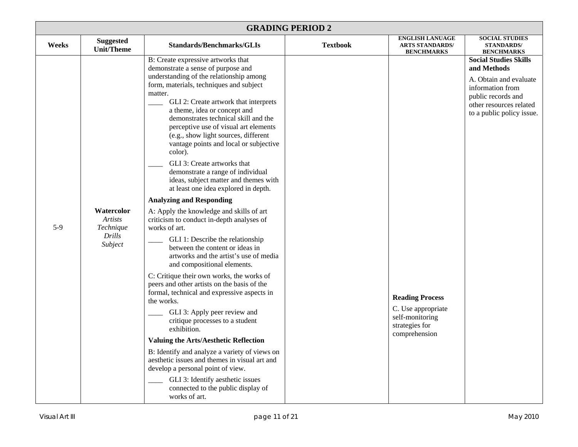|       | <b>GRADING PERIOD 2</b>                                        |                                                                                                                                                                                                                                                                                                                                                                                                                                                                                                                                                                                                                                                                                                                                                                                                                                                                                                                                                                                                                                                                                                                                                                                                                                                                                                                                                                                                                 |                 |                                                                                                    |                                                                                                                                                                         |  |  |
|-------|----------------------------------------------------------------|-----------------------------------------------------------------------------------------------------------------------------------------------------------------------------------------------------------------------------------------------------------------------------------------------------------------------------------------------------------------------------------------------------------------------------------------------------------------------------------------------------------------------------------------------------------------------------------------------------------------------------------------------------------------------------------------------------------------------------------------------------------------------------------------------------------------------------------------------------------------------------------------------------------------------------------------------------------------------------------------------------------------------------------------------------------------------------------------------------------------------------------------------------------------------------------------------------------------------------------------------------------------------------------------------------------------------------------------------------------------------------------------------------------------|-----------------|----------------------------------------------------------------------------------------------------|-------------------------------------------------------------------------------------------------------------------------------------------------------------------------|--|--|
| Weeks | <b>Suggested</b><br><b>Unit/Theme</b>                          | <b>Standards/Benchmarks/GLIs</b>                                                                                                                                                                                                                                                                                                                                                                                                                                                                                                                                                                                                                                                                                                                                                                                                                                                                                                                                                                                                                                                                                                                                                                                                                                                                                                                                                                                | <b>Textbook</b> | <b>ENGLISH LANUAGE</b><br><b>ARTS STANDARDS/</b><br><b>BENCHMARKS</b>                              | <b>SOCIAL STUDIES</b><br><b>STANDARDS/</b><br><b>BENCHMARKS</b>                                                                                                         |  |  |
| $5-9$ | Watercolor<br><b>Artists</b><br>Technique<br>Drills<br>Subject | B: Create expressive artworks that<br>demonstrate a sense of purpose and<br>understanding of the relationship among<br>form, materials, techniques and subject<br>matter.<br>GLI 2: Create artwork that interprets<br>a theme, idea or concept and<br>demonstrates technical skill and the<br>perceptive use of visual art elements<br>(e.g., show light sources, different<br>vantage points and local or subjective<br>color).<br>GLI 3: Create artworks that<br>demonstrate a range of individual<br>ideas, subject matter and themes with<br>at least one idea explored in depth.<br><b>Analyzing and Responding</b><br>A: Apply the knowledge and skills of art<br>criticism to conduct in-depth analyses of<br>works of art.<br>GLI 1: Describe the relationship<br>between the content or ideas in<br>artworks and the artist's use of media<br>and compositional elements.<br>C: Critique their own works, the works of<br>peers and other artists on the basis of the<br>formal, technical and expressive aspects in<br>the works.<br>GLI 3: Apply peer review and<br>critique processes to a student<br>exhibition.<br><b>Valuing the Arts/Aesthetic Reflection</b><br>B: Identify and analyze a variety of views on<br>aesthetic issues and themes in visual art and<br>develop a personal point of view.<br>GLI 3: Identify aesthetic issues<br>connected to the public display of<br>works of art. |                 | <b>Reading Process</b><br>C. Use appropriate<br>self-monitoring<br>strategies for<br>comprehension | <b>Social Studies Skills</b><br>and Methods<br>A. Obtain and evaluate<br>information from<br>public records and<br>other resources related<br>to a public policy issue. |  |  |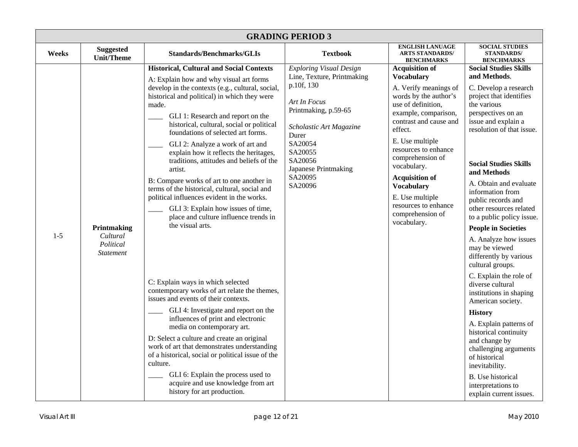|         | <b>GRADING PERIOD 3</b>                                  |                                                                                                                                                                                                                                                                                                                                                                                                                                                                                                                                                                                                                                                                                                                                                                                                                                                                                                                                                                                                                                                                                                                                                                                                                                       |                                                                                                                                                                                                                                       |                                                                                                                                                                                                                                                                                                                                                                                           |                                                                                                                                                                                                                                                                                                                                                                                                                                                                                                                                                                                                                                                                                                                                                                                                                  |  |  |  |
|---------|----------------------------------------------------------|---------------------------------------------------------------------------------------------------------------------------------------------------------------------------------------------------------------------------------------------------------------------------------------------------------------------------------------------------------------------------------------------------------------------------------------------------------------------------------------------------------------------------------------------------------------------------------------------------------------------------------------------------------------------------------------------------------------------------------------------------------------------------------------------------------------------------------------------------------------------------------------------------------------------------------------------------------------------------------------------------------------------------------------------------------------------------------------------------------------------------------------------------------------------------------------------------------------------------------------|---------------------------------------------------------------------------------------------------------------------------------------------------------------------------------------------------------------------------------------|-------------------------------------------------------------------------------------------------------------------------------------------------------------------------------------------------------------------------------------------------------------------------------------------------------------------------------------------------------------------------------------------|------------------------------------------------------------------------------------------------------------------------------------------------------------------------------------------------------------------------------------------------------------------------------------------------------------------------------------------------------------------------------------------------------------------------------------------------------------------------------------------------------------------------------------------------------------------------------------------------------------------------------------------------------------------------------------------------------------------------------------------------------------------------------------------------------------------|--|--|--|
| Weeks   | <b>Suggested</b><br><b>Unit/Theme</b>                    | <b>Standards/Benchmarks/GLIs</b>                                                                                                                                                                                                                                                                                                                                                                                                                                                                                                                                                                                                                                                                                                                                                                                                                                                                                                                                                                                                                                                                                                                                                                                                      | <b>Textbook</b>                                                                                                                                                                                                                       | <b>ENGLISH LANUAGE</b><br><b>ARTS STANDARDS/</b><br><b>BENCHMARKS</b>                                                                                                                                                                                                                                                                                                                     | <b>SOCIAL STUDIES</b><br><b>STANDARDS/</b><br><b>BENCHMARKS</b>                                                                                                                                                                                                                                                                                                                                                                                                                                                                                                                                                                                                                                                                                                                                                  |  |  |  |
| $1 - 5$ | Printmaking<br>Cultural<br>Political<br><b>Statement</b> | <b>Historical, Cultural and Social Contexts</b><br>A: Explain how and why visual art forms<br>develop in the contexts (e.g., cultural, social,<br>historical and political) in which they were<br>made.<br>GLI 1: Research and report on the<br>historical, cultural, social or political<br>foundations of selected art forms.<br>GLI 2: Analyze a work of art and<br>explain how it reflects the heritages,<br>traditions, attitudes and beliefs of the<br>artist.<br>B: Compare works of art to one another in<br>terms of the historical, cultural, social and<br>political influences evident in the works.<br>GLI 3: Explain how issues of time,<br>place and culture influence trends in<br>the visual arts.<br>C: Explain ways in which selected<br>contemporary works of art relate the themes,<br>issues and events of their contexts.<br>GLI 4: Investigate and report on the<br>influences of print and electronic<br>media on contemporary art.<br>D: Select a culture and create an original<br>work of art that demonstrates understanding<br>of a historical, social or political issue of the<br>culture.<br>GLI 6: Explain the process used to<br>acquire and use knowledge from art<br>history for art production. | <b>Exploring Visual Design</b><br>Line, Texture, Printmaking<br>p.10f, 130<br>Art In Focus<br>Printmaking, p.59-65<br>Scholastic Art Magazine<br>Durer<br>SA20054<br>SA20055<br>SA20056<br>Japanese Printmaking<br>SA20095<br>SA20096 | <b>Acquisition of</b><br><b>Vocabulary</b><br>A. Verify meanings of<br>words by the author's<br>use of definition,<br>example, comparison,<br>contrast and cause and<br>effect.<br>E. Use multiple<br>resources to enhance<br>comprehension of<br>vocabulary.<br><b>Acquisition of</b><br><b>Vocabulary</b><br>E. Use multiple<br>resources to enhance<br>comprehension of<br>vocabulary. | <b>Social Studies Skills</b><br>and Methods.<br>C. Develop a research<br>project that identifies<br>the various<br>perspectives on an<br>issue and explain a<br>resolution of that issue.<br><b>Social Studies Skills</b><br>and Methods<br>A. Obtain and evaluate<br>information from<br>public records and<br>other resources related<br>to a public policy issue.<br><b>People in Societies</b><br>A. Analyze how issues<br>may be viewed<br>differently by various<br>cultural groups.<br>C. Explain the role of<br>diverse cultural<br>institutions in shaping<br>American society.<br><b>History</b><br>A. Explain patterns of<br>historical continuity<br>and change by<br>challenging arguments<br>of historical<br>inevitability.<br>B. Use historical<br>interpretations to<br>explain current issues. |  |  |  |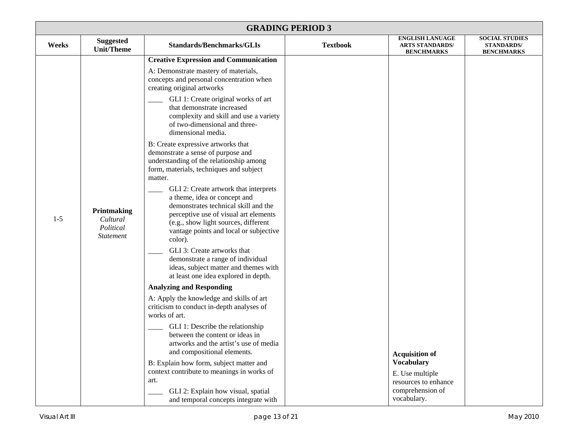| <b>GRADING PERIOD 3</b> |                                                          |                                                                                                                                                                                                                                                                                                                                                                                                                                                                                                                                                                                                                                                                                                                                                                                                                                                                                                                                                                                                                                                                                                                                                                                                                                                                                                                                                                                                           |                 |                                                                                                                          |                                                                 |  |
|-------------------------|----------------------------------------------------------|-----------------------------------------------------------------------------------------------------------------------------------------------------------------------------------------------------------------------------------------------------------------------------------------------------------------------------------------------------------------------------------------------------------------------------------------------------------------------------------------------------------------------------------------------------------------------------------------------------------------------------------------------------------------------------------------------------------------------------------------------------------------------------------------------------------------------------------------------------------------------------------------------------------------------------------------------------------------------------------------------------------------------------------------------------------------------------------------------------------------------------------------------------------------------------------------------------------------------------------------------------------------------------------------------------------------------------------------------------------------------------------------------------------|-----------------|--------------------------------------------------------------------------------------------------------------------------|-----------------------------------------------------------------|--|
| Weeks                   | <b>Suggested</b><br><b>Unit/Theme</b>                    | <b>Standards/Benchmarks/GLIs</b>                                                                                                                                                                                                                                                                                                                                                                                                                                                                                                                                                                                                                                                                                                                                                                                                                                                                                                                                                                                                                                                                                                                                                                                                                                                                                                                                                                          | <b>Textbook</b> | <b>ENGLISH LANUAGE</b><br><b>ARTS STANDARDS/</b><br><b>BENCHMARKS</b>                                                    | <b>SOCIAL STUDIES</b><br><b>STANDARDS/</b><br><b>BENCHMARKS</b> |  |
| $1 - 5$                 | Printmaking<br>Cultural<br>Political<br><b>Statement</b> | <b>Creative Expression and Communication</b><br>A: Demonstrate mastery of materials,<br>concepts and personal concentration when<br>creating original artworks<br>GLI 1: Create original works of art<br>that demonstrate increased<br>complexity and skill and use a variety<br>of two-dimensional and three-<br>dimensional media.<br>B: Create expressive artworks that<br>demonstrate a sense of purpose and<br>understanding of the relationship among<br>form, materials, techniques and subject<br>matter.<br>GLI 2: Create artwork that interprets<br>a theme, idea or concept and<br>demonstrates technical skill and the<br>perceptive use of visual art elements<br>(e.g., show light sources, different<br>vantage points and local or subjective<br>color).<br>GLI 3: Create artworks that<br>demonstrate a range of individual<br>ideas, subject matter and themes with<br>at least one idea explored in depth.<br><b>Analyzing and Responding</b><br>A: Apply the knowledge and skills of art<br>criticism to conduct in-depth analyses of<br>works of art.<br>GLI 1: Describe the relationship<br>between the content or ideas in<br>artworks and the artist's use of media<br>and compositional elements.<br>B: Explain how form, subject matter and<br>context contribute to meanings in works of<br>art.<br>GLI 2: Explain how visual, spatial<br>and temporal concepts integrate with |                 | <b>Acquisition of</b><br><b>Vocabulary</b><br>E. Use multiple<br>resources to enhance<br>comprehension of<br>vocabulary. |                                                                 |  |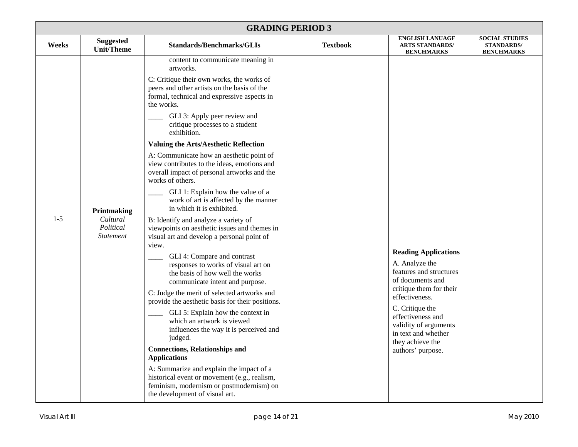| <b>GRADING PERIOD 3</b> |                                                          |                                                                                                                                                                                                                                                                                                                                                                                                                                                                                                                                                                                                                                                                                                                                                                                                                                                                                                                                                                                                                                                                                                                                                                                                                                                                                                                                                                             |                 |                                                                                                                                                                                                                                                                            |                                                                 |  |
|-------------------------|----------------------------------------------------------|-----------------------------------------------------------------------------------------------------------------------------------------------------------------------------------------------------------------------------------------------------------------------------------------------------------------------------------------------------------------------------------------------------------------------------------------------------------------------------------------------------------------------------------------------------------------------------------------------------------------------------------------------------------------------------------------------------------------------------------------------------------------------------------------------------------------------------------------------------------------------------------------------------------------------------------------------------------------------------------------------------------------------------------------------------------------------------------------------------------------------------------------------------------------------------------------------------------------------------------------------------------------------------------------------------------------------------------------------------------------------------|-----------------|----------------------------------------------------------------------------------------------------------------------------------------------------------------------------------------------------------------------------------------------------------------------------|-----------------------------------------------------------------|--|
| Weeks                   | <b>Suggested</b><br><b>Unit/Theme</b>                    | <b>Standards/Benchmarks/GLIs</b>                                                                                                                                                                                                                                                                                                                                                                                                                                                                                                                                                                                                                                                                                                                                                                                                                                                                                                                                                                                                                                                                                                                                                                                                                                                                                                                                            | <b>Textbook</b> | <b>ENGLISH LANUAGE</b><br><b>ARTS STANDARDS/</b><br><b>BENCHMARKS</b>                                                                                                                                                                                                      | <b>SOCIAL STUDIES</b><br><b>STANDARDS/</b><br><b>BENCHMARKS</b> |  |
| $1 - 5$                 | Printmaking<br>Cultural<br>Political<br><b>Statement</b> | content to communicate meaning in<br>artworks.<br>C: Critique their own works, the works of<br>peers and other artists on the basis of the<br>formal, technical and expressive aspects in<br>the works.<br>GLI 3: Apply peer review and<br>critique processes to a student<br>exhibition.<br>Valuing the Arts/Aesthetic Reflection<br>A: Communicate how an aesthetic point of<br>view contributes to the ideas, emotions and<br>overall impact of personal artworks and the<br>works of others.<br>GLI 1: Explain how the value of a<br>work of art is affected by the manner<br>in which it is exhibited.<br>B: Identify and analyze a variety of<br>viewpoints on aesthetic issues and themes in<br>visual art and develop a personal point of<br>view.<br>GLI 4: Compare and contrast<br>responses to works of visual art on<br>the basis of how well the works<br>communicate intent and purpose.<br>C: Judge the merit of selected artworks and<br>provide the aesthetic basis for their positions.<br>GLI 5: Explain how the context in<br>which an artwork is viewed<br>influences the way it is perceived and<br>judged.<br><b>Connections, Relationships and</b><br><b>Applications</b><br>A: Summarize and explain the impact of a<br>historical event or movement (e.g., realism,<br>feminism, modernism or postmodernism) on<br>the development of visual art. |                 | <b>Reading Applications</b><br>A. Analyze the<br>features and structures<br>of documents and<br>critique them for their<br>effectiveness.<br>C. Critique the<br>effectiveness and<br>validity of arguments<br>in text and whether<br>they achieve the<br>authors' purpose. |                                                                 |  |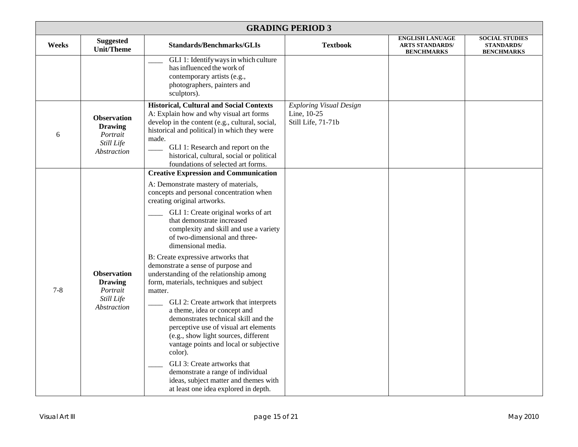| <b>GRADING PERIOD 3</b> |                                                                               |                                                                                                                                                                                                                                                                                                                                                                                                                                                                                                                                                                                                                                                                                                                                                                                                                                                                                                                                |                                                                     |                                                                       |                                                                 |  |
|-------------------------|-------------------------------------------------------------------------------|--------------------------------------------------------------------------------------------------------------------------------------------------------------------------------------------------------------------------------------------------------------------------------------------------------------------------------------------------------------------------------------------------------------------------------------------------------------------------------------------------------------------------------------------------------------------------------------------------------------------------------------------------------------------------------------------------------------------------------------------------------------------------------------------------------------------------------------------------------------------------------------------------------------------------------|---------------------------------------------------------------------|-----------------------------------------------------------------------|-----------------------------------------------------------------|--|
| Weeks                   | <b>Suggested</b><br><b>Unit/Theme</b>                                         | <b>Standards/Benchmarks/GLIs</b>                                                                                                                                                                                                                                                                                                                                                                                                                                                                                                                                                                                                                                                                                                                                                                                                                                                                                               | <b>Textbook</b>                                                     | <b>ENGLISH LANUAGE</b><br><b>ARTS STANDARDS/</b><br><b>BENCHMARKS</b> | <b>SOCIAL STUDIES</b><br><b>STANDARDS/</b><br><b>BENCHMARKS</b> |  |
|                         |                                                                               | GLI 1: Identify ways in which culture<br>has influenced the work of<br>contemporary artists (e.g.,<br>photographers, painters and<br>sculptors).                                                                                                                                                                                                                                                                                                                                                                                                                                                                                                                                                                                                                                                                                                                                                                               |                                                                     |                                                                       |                                                                 |  |
| 6                       | <b>Observation</b><br><b>Drawing</b><br>Portrait<br>Still Life<br>Abstraction | <b>Historical, Cultural and Social Contexts</b><br>A: Explain how and why visual art forms<br>develop in the content (e.g., cultural, social,<br>historical and political) in which they were<br>made.<br>GLI 1: Research and report on the<br>historical, cultural, social or political<br>foundations of selected art forms.                                                                                                                                                                                                                                                                                                                                                                                                                                                                                                                                                                                                 | <b>Exploring Visual Design</b><br>Line, 10-25<br>Still Life, 71-71b |                                                                       |                                                                 |  |
| $7 - 8$                 | <b>Observation</b><br><b>Drawing</b><br>Portrait<br>Still Life<br>Abstraction | <b>Creative Expression and Communication</b><br>A: Demonstrate mastery of materials,<br>concepts and personal concentration when<br>creating original artworks.<br>GLI 1: Create original works of art<br>that demonstrate increased<br>complexity and skill and use a variety<br>of two-dimensional and three-<br>dimensional media.<br>B: Create expressive artworks that<br>demonstrate a sense of purpose and<br>understanding of the relationship among<br>form, materials, techniques and subject<br>matter.<br>GLI 2: Create artwork that interprets<br>a theme, idea or concept and<br>demonstrates technical skill and the<br>perceptive use of visual art elements<br>(e.g., show light sources, different<br>vantage points and local or subjective<br>color).<br>GLI 3: Create artworks that<br>demonstrate a range of individual<br>ideas, subject matter and themes with<br>at least one idea explored in depth. |                                                                     |                                                                       |                                                                 |  |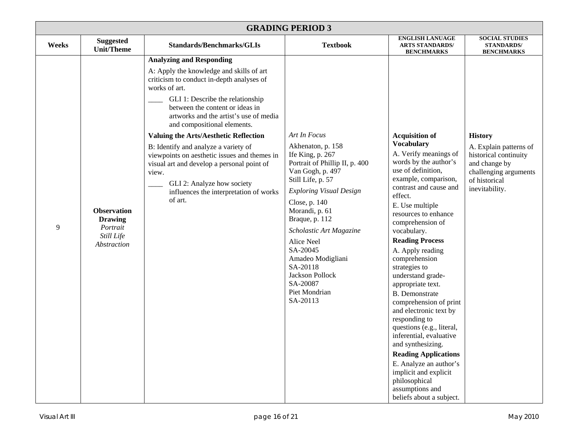| <b>GRADING PERIOD 3</b> |                                                                               |                                                                                                                                                                                                                                                                                                                                                                                                                                                                                                                                                                             |                                                                                                                                                                                                                                                                                                                                                                                  |                                                                                                                                                                                                                                                                                                                                                                                                                                                                                                                                                                                                                                                                                                                      |                                                                                                                                                |  |
|-------------------------|-------------------------------------------------------------------------------|-----------------------------------------------------------------------------------------------------------------------------------------------------------------------------------------------------------------------------------------------------------------------------------------------------------------------------------------------------------------------------------------------------------------------------------------------------------------------------------------------------------------------------------------------------------------------------|----------------------------------------------------------------------------------------------------------------------------------------------------------------------------------------------------------------------------------------------------------------------------------------------------------------------------------------------------------------------------------|----------------------------------------------------------------------------------------------------------------------------------------------------------------------------------------------------------------------------------------------------------------------------------------------------------------------------------------------------------------------------------------------------------------------------------------------------------------------------------------------------------------------------------------------------------------------------------------------------------------------------------------------------------------------------------------------------------------------|------------------------------------------------------------------------------------------------------------------------------------------------|--|
| Weeks                   | <b>Suggested</b><br>Unit/Theme                                                | <b>Standards/Benchmarks/GLIs</b>                                                                                                                                                                                                                                                                                                                                                                                                                                                                                                                                            | <b>Textbook</b>                                                                                                                                                                                                                                                                                                                                                                  | <b>ENGLISH LANUAGE</b><br><b>ARTS STANDARDS/</b><br><b>BENCHMARKS</b>                                                                                                                                                                                                                                                                                                                                                                                                                                                                                                                                                                                                                                                | <b>SOCIAL STUDIES</b><br><b>STANDARDS/</b><br><b>BENCHMARKS</b>                                                                                |  |
| 9                       | <b>Observation</b><br><b>Drawing</b><br>Portrait<br>Still Life<br>Abstraction | <b>Analyzing and Responding</b><br>A: Apply the knowledge and skills of art<br>criticism to conduct in-depth analyses of<br>works of art.<br>GLI 1: Describe the relationship<br>between the content or ideas in<br>artworks and the artist's use of media<br>and compositional elements.<br><b>Valuing the Arts/Aesthetic Reflection</b><br>B: Identify and analyze a variety of<br>viewpoints on aesthetic issues and themes in<br>visual art and develop a personal point of<br>view.<br>GLI 2: Analyze how society<br>influences the interpretation of works<br>of art. | Art In Focus<br>Akhenaton, p. 158<br>Ife King, p. 267<br>Portrait of Phillip II, p. 400<br>Van Gogh, p. 497<br>Still Life, p. 57<br><b>Exploring Visual Design</b><br>Close, p. 140<br>Morandi, p. 61<br>Braque, p. 112<br>Scholastic Art Magazine<br>Alice Neel<br>SA-20045<br>Amadeo Modigliani<br>SA-20118<br><b>Jackson Pollock</b><br>SA-20087<br>Piet Mondrian<br>SA-20113 | <b>Acquisition of</b><br><b>Vocabulary</b><br>A. Verify meanings of<br>words by the author's<br>use of definition,<br>example, comparison,<br>contrast and cause and<br>effect.<br>E. Use multiple<br>resources to enhance<br>comprehension of<br>vocabulary.<br><b>Reading Process</b><br>A. Apply reading<br>comprehension<br>strategies to<br>understand grade-<br>appropriate text.<br><b>B.</b> Demonstrate<br>comprehension of print<br>and electronic text by<br>responding to<br>questions (e.g., literal,<br>inferential, evaluative<br>and synthesizing.<br><b>Reading Applications</b><br>E. Analyze an author's<br>implicit and explicit<br>philosophical<br>assumptions and<br>beliefs about a subject. | <b>History</b><br>A. Explain patterns of<br>historical continuity<br>and change by<br>challenging arguments<br>of historical<br>inevitability. |  |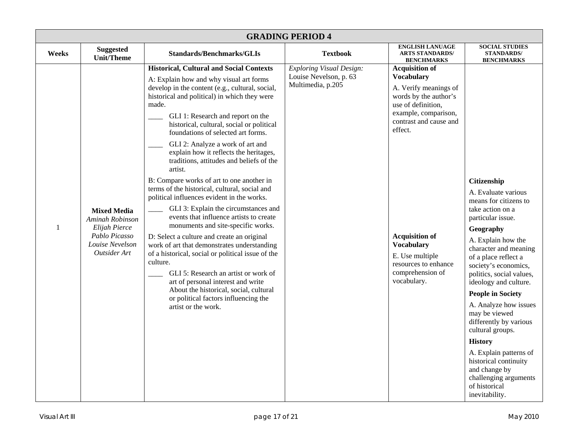| <b>GRADING PERIOD 4</b> |                                                                                                            |                                                                                                                                                                                                                                                                                                                                                                                                                                                                                                                                                                                                                                                                                                                                                                                                                                                                                                                                                                                                                                                                                               |                                                                                |                                                                                                                                                                                                                                                                                                             |                                                                                                                                                                                                                                                                                                                                                                                                                                                                                                                                                    |  |
|-------------------------|------------------------------------------------------------------------------------------------------------|-----------------------------------------------------------------------------------------------------------------------------------------------------------------------------------------------------------------------------------------------------------------------------------------------------------------------------------------------------------------------------------------------------------------------------------------------------------------------------------------------------------------------------------------------------------------------------------------------------------------------------------------------------------------------------------------------------------------------------------------------------------------------------------------------------------------------------------------------------------------------------------------------------------------------------------------------------------------------------------------------------------------------------------------------------------------------------------------------|--------------------------------------------------------------------------------|-------------------------------------------------------------------------------------------------------------------------------------------------------------------------------------------------------------------------------------------------------------------------------------------------------------|----------------------------------------------------------------------------------------------------------------------------------------------------------------------------------------------------------------------------------------------------------------------------------------------------------------------------------------------------------------------------------------------------------------------------------------------------------------------------------------------------------------------------------------------------|--|
| Weeks                   | <b>Suggested</b><br><b>Unit/Theme</b>                                                                      | <b>Standards/Benchmarks/GLIs</b>                                                                                                                                                                                                                                                                                                                                                                                                                                                                                                                                                                                                                                                                                                                                                                                                                                                                                                                                                                                                                                                              | <b>Textbook</b>                                                                | <b>ENGLISH LANUAGE</b><br><b>ARTS STANDARDS/</b><br><b>BENCHMARKS</b>                                                                                                                                                                                                                                       | <b>SOCIAL STUDIES</b><br><b>STANDARDS/</b><br><b>BENCHMARKS</b>                                                                                                                                                                                                                                                                                                                                                                                                                                                                                    |  |
| $\mathbf{1}$            | <b>Mixed Media</b><br>Aminah Robinson<br>Elijah Pierce<br>Pablo Picasso<br>Louise Nevelson<br>Outsider Art | <b>Historical, Cultural and Social Contexts</b><br>A: Explain how and why visual art forms<br>develop in the content (e.g., cultural, social,<br>historical and political) in which they were<br>made.<br>GLI 1: Research and report on the<br>historical, cultural, social or political<br>foundations of selected art forms.<br>GLI 2: Analyze a work of art and<br>explain how it reflects the heritages,<br>traditions, attitudes and beliefs of the<br>artist.<br>B: Compare works of art to one another in<br>terms of the historical, cultural, social and<br>political influences evident in the works.<br>GLI 3: Explain the circumstances and<br>events that influence artists to create<br>monuments and site-specific works.<br>D: Select a culture and create an original<br>work of art that demonstrates understanding<br>of a historical, social or political issue of the<br>culture.<br>GLI 5: Research an artist or work of<br>art of personal interest and write<br>About the historical, social, cultural<br>or political factors influencing the<br>artist or the work. | <b>Exploring Visual Design:</b><br>Louise Nevelson, p. 63<br>Multimedia, p.205 | <b>Acquisition of</b><br><b>Vocabulary</b><br>A. Verify meanings of<br>words by the author's<br>use of definition,<br>example, comparison,<br>contrast and cause and<br>effect.<br><b>Acquisition of</b><br><b>Vocabulary</b><br>E. Use multiple<br>resources to enhance<br>comprehension of<br>vocabulary. | <b>Citizenship</b><br>A. Evaluate various<br>means for citizens to<br>take action on a<br>particular issue.<br>Geography<br>A. Explain how the<br>character and meaning<br>of a place reflect a<br>society's economics,<br>politics, social values,<br>ideology and culture.<br><b>People in Society</b><br>A. Analyze how issues<br>may be viewed<br>differently by various<br>cultural groups.<br><b>History</b><br>A. Explain patterns of<br>historical continuity<br>and change by<br>challenging arguments<br>of historical<br>inevitability. |  |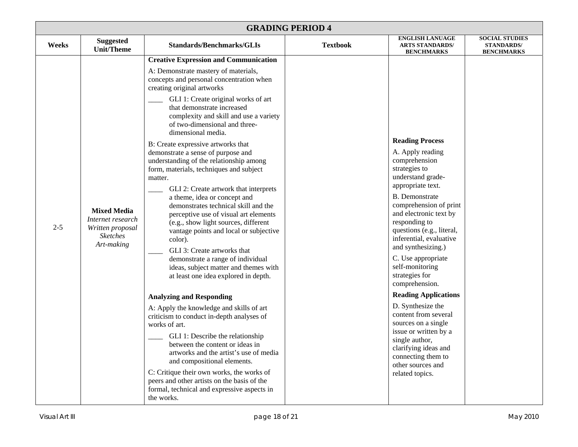| <b>GRADING PERIOD 4</b> |                                                                                              |                                                                                                                                                                                                                                                                                                                                                                                                                                                                                                                                                                                                                                                                                                                                                                                                                                                                                                                                                                                                                                                                            |                 |                                                                                                                                                                                                                                                                                                                                                                                                                                                                                                             |                                                                 |  |
|-------------------------|----------------------------------------------------------------------------------------------|----------------------------------------------------------------------------------------------------------------------------------------------------------------------------------------------------------------------------------------------------------------------------------------------------------------------------------------------------------------------------------------------------------------------------------------------------------------------------------------------------------------------------------------------------------------------------------------------------------------------------------------------------------------------------------------------------------------------------------------------------------------------------------------------------------------------------------------------------------------------------------------------------------------------------------------------------------------------------------------------------------------------------------------------------------------------------|-----------------|-------------------------------------------------------------------------------------------------------------------------------------------------------------------------------------------------------------------------------------------------------------------------------------------------------------------------------------------------------------------------------------------------------------------------------------------------------------------------------------------------------------|-----------------------------------------------------------------|--|
| Weeks                   | <b>Suggested</b><br><b>Unit/Theme</b>                                                        | <b>Standards/Benchmarks/GLIs</b>                                                                                                                                                                                                                                                                                                                                                                                                                                                                                                                                                                                                                                                                                                                                                                                                                                                                                                                                                                                                                                           | <b>Textbook</b> | <b>ENGLISH LANUAGE</b><br><b>ARTS STANDARDS/</b><br><b>BENCHMARKS</b>                                                                                                                                                                                                                                                                                                                                                                                                                                       | <b>SOCIAL STUDIES</b><br><b>STANDARDS/</b><br><b>BENCHMARKS</b> |  |
| $2 - 5$                 | <b>Mixed Media</b><br>Internet research<br>Written proposal<br><b>Sketches</b><br>Art-making | <b>Creative Expression and Communication</b><br>A: Demonstrate mastery of materials,<br>concepts and personal concentration when<br>creating original artworks<br>GLI 1: Create original works of art<br>that demonstrate increased<br>complexity and skill and use a variety<br>of two-dimensional and three-<br>dimensional media.<br>B: Create expressive artworks that<br>demonstrate a sense of purpose and<br>understanding of the relationship among<br>form, materials, techniques and subject<br>matter.<br>GLI 2: Create artwork that interprets<br>a theme, idea or concept and<br>demonstrates technical skill and the<br>perceptive use of visual art elements<br>(e.g., show light sources, different<br>vantage points and local or subjective<br>color).<br>GLI 3: Create artworks that<br>demonstrate a range of individual<br>ideas, subject matter and themes with<br>at least one idea explored in depth.<br><b>Analyzing and Responding</b><br>A: Apply the knowledge and skills of art<br>criticism to conduct in-depth analyses of<br>works of art. |                 | <b>Reading Process</b><br>A. Apply reading<br>comprehension<br>strategies to<br>understand grade-<br>appropriate text.<br><b>B.</b> Demonstrate<br>comprehension of print<br>and electronic text by<br>responding to<br>questions (e.g., literal,<br>inferential, evaluative<br>and synthesizing.)<br>C. Use appropriate<br>self-monitoring<br>strategies for<br>comprehension.<br><b>Reading Applications</b><br>D. Synthesize the<br>content from several<br>sources on a single<br>issue or written by a |                                                                 |  |
|                         |                                                                                              | GLI 1: Describe the relationship<br>between the content or ideas in<br>artworks and the artist's use of media<br>and compositional elements.<br>C: Critique their own works, the works of<br>peers and other artists on the basis of the<br>formal, technical and expressive aspects in<br>the works.                                                                                                                                                                                                                                                                                                                                                                                                                                                                                                                                                                                                                                                                                                                                                                      |                 | single author,<br>clarifying ideas and<br>connecting them to<br>other sources and<br>related topics.                                                                                                                                                                                                                                                                                                                                                                                                        |                                                                 |  |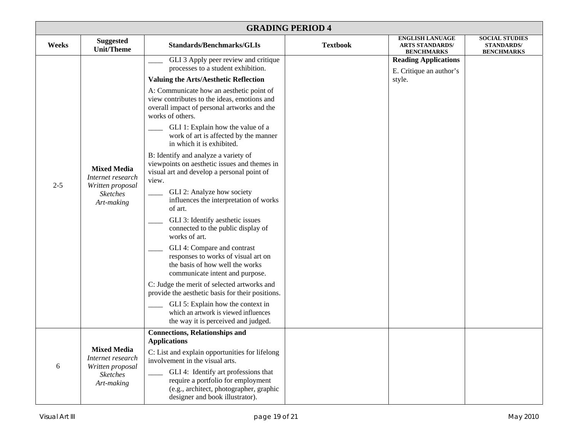| <b>GRADING PERIOD 4</b> |                                                                                              |                                                                                                                                                                                                                                                                                                                                                                                                                                                                                                                                                                                                                                                                                                                                                                                                                                                                                                                                                                                                                                                                                                      |                 |                                                                       |                                                                 |  |
|-------------------------|----------------------------------------------------------------------------------------------|------------------------------------------------------------------------------------------------------------------------------------------------------------------------------------------------------------------------------------------------------------------------------------------------------------------------------------------------------------------------------------------------------------------------------------------------------------------------------------------------------------------------------------------------------------------------------------------------------------------------------------------------------------------------------------------------------------------------------------------------------------------------------------------------------------------------------------------------------------------------------------------------------------------------------------------------------------------------------------------------------------------------------------------------------------------------------------------------------|-----------------|-----------------------------------------------------------------------|-----------------------------------------------------------------|--|
| Weeks                   | <b>Suggested</b><br><b>Unit/Theme</b>                                                        | <b>Standards/Benchmarks/GLIs</b>                                                                                                                                                                                                                                                                                                                                                                                                                                                                                                                                                                                                                                                                                                                                                                                                                                                                                                                                                                                                                                                                     | <b>Textbook</b> | <b>ENGLISH LANUAGE</b><br><b>ARTS STANDARDS/</b><br><b>BENCHMARKS</b> | <b>SOCIAL STUDIES</b><br><b>STANDARDS/</b><br><b>BENCHMARKS</b> |  |
| $2 - 5$                 | <b>Mixed Media</b><br>Internet research<br>Written proposal<br><b>Sketches</b><br>Art-making | GLI 3 Apply peer review and critique<br>processes to a student exhibition.<br><b>Valuing the Arts/Aesthetic Reflection</b><br>A: Communicate how an aesthetic point of<br>view contributes to the ideas, emotions and<br>overall impact of personal artworks and the<br>works of others.<br>GLI 1: Explain how the value of a<br>work of art is affected by the manner<br>in which it is exhibited.<br>B: Identify and analyze a variety of<br>viewpoints on aesthetic issues and themes in<br>visual art and develop a personal point of<br>view.<br>GLI 2: Analyze how society<br>influences the interpretation of works<br>of art.<br>GLI 3: Identify aesthetic issues<br>connected to the public display of<br>works of art.<br>GLI 4: Compare and contrast<br>responses to works of visual art on<br>the basis of how well the works<br>communicate intent and purpose.<br>C: Judge the merit of selected artworks and<br>provide the aesthetic basis for their positions.<br>GLI 5: Explain how the context in<br>which an artwork is viewed influences<br>the way it is perceived and judged. |                 | <b>Reading Applications</b><br>E. Critique an author's<br>style.      |                                                                 |  |
| 6                       | <b>Mixed Media</b><br>Internet research<br>Written proposal<br><b>Sketches</b><br>Art-making | <b>Connections, Relationships and</b><br><b>Applications</b><br>C: List and explain opportunities for lifelong<br>involvement in the visual arts.<br>GLI 4: Identify art professions that<br>require a portfolio for employment<br>(e.g., architect, photographer, graphic<br>designer and book illustrator).                                                                                                                                                                                                                                                                                                                                                                                                                                                                                                                                                                                                                                                                                                                                                                                        |                 |                                                                       |                                                                 |  |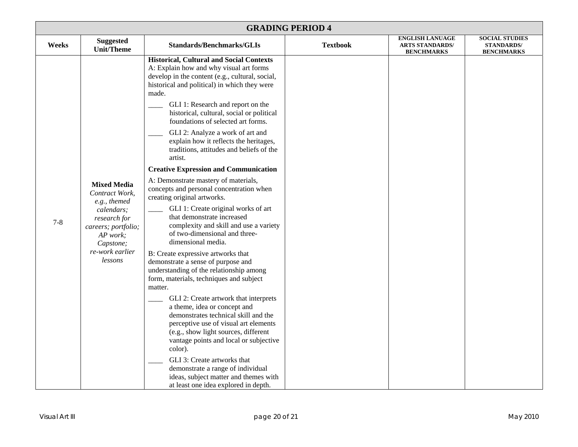| <b>GRADING PERIOD 4</b> |                                                                                                                                                                                                                                                                                                                                                                                                                                                                |                                                                                                                                                                                                                                                                                                                                                                    |                 |                                                                       |                                                                 |
|-------------------------|----------------------------------------------------------------------------------------------------------------------------------------------------------------------------------------------------------------------------------------------------------------------------------------------------------------------------------------------------------------------------------------------------------------------------------------------------------------|--------------------------------------------------------------------------------------------------------------------------------------------------------------------------------------------------------------------------------------------------------------------------------------------------------------------------------------------------------------------|-----------------|-----------------------------------------------------------------------|-----------------------------------------------------------------|
| Weeks                   | <b>Suggested</b><br><b>Unit/Theme</b>                                                                                                                                                                                                                                                                                                                                                                                                                          | <b>Standards/Benchmarks/GLIs</b>                                                                                                                                                                                                                                                                                                                                   | <b>Textbook</b> | <b>ENGLISH LANUAGE</b><br><b>ARTS STANDARDS/</b><br><b>BENCHMARKS</b> | <b>SOCIAL STUDIES</b><br><b>STANDARDS/</b><br><b>BENCHMARKS</b> |
|                         |                                                                                                                                                                                                                                                                                                                                                                                                                                                                | <b>Historical, Cultural and Social Contexts</b><br>A: Explain how and why visual art forms<br>develop in the content (e.g., cultural, social,<br>historical and political) in which they were<br>made.<br>GLI 1: Research and report on the<br>historical, cultural, social or political<br>foundations of selected art forms.<br>GLI 2: Analyze a work of art and |                 |                                                                       |                                                                 |
|                         |                                                                                                                                                                                                                                                                                                                                                                                                                                                                | explain how it reflects the heritages,<br>traditions, attitudes and beliefs of the<br>artist.                                                                                                                                                                                                                                                                      |                 |                                                                       |                                                                 |
|                         |                                                                                                                                                                                                                                                                                                                                                                                                                                                                | <b>Creative Expression and Communication</b>                                                                                                                                                                                                                                                                                                                       |                 |                                                                       |                                                                 |
| $7 - 8$                 | <b>Mixed Media</b><br>Contract Work,<br>e.g., themed<br>calendars;<br>research for<br>careers; portfolio;<br>AP work;<br>Capstone;                                                                                                                                                                                                                                                                                                                             | A: Demonstrate mastery of materials,<br>concepts and personal concentration when<br>creating original artworks.<br>GLI 1: Create original works of art<br>that demonstrate increased<br>complexity and skill and use a variety<br>of two-dimensional and three-<br>dimensional media.                                                                              |                 |                                                                       |                                                                 |
|                         | re-work earlier<br>B: Create expressive artworks that<br>lessons<br>demonstrate a sense of purpose and<br>understanding of the relationship among<br>form, materials, techniques and subject<br>matter.<br>GLI 2: Create artwork that interprets<br>a theme, idea or concept and<br>demonstrates technical skill and the<br>perceptive use of visual art elements<br>(e.g., show light sources, different<br>vantage points and local or subjective<br>color). |                                                                                                                                                                                                                                                                                                                                                                    |                 |                                                                       |                                                                 |
|                         |                                                                                                                                                                                                                                                                                                                                                                                                                                                                |                                                                                                                                                                                                                                                                                                                                                                    |                 |                                                                       |                                                                 |
|                         |                                                                                                                                                                                                                                                                                                                                                                                                                                                                | GLI 3: Create artworks that<br>demonstrate a range of individual<br>ideas, subject matter and themes with<br>at least one idea explored in depth.                                                                                                                                                                                                                  |                 |                                                                       |                                                                 |